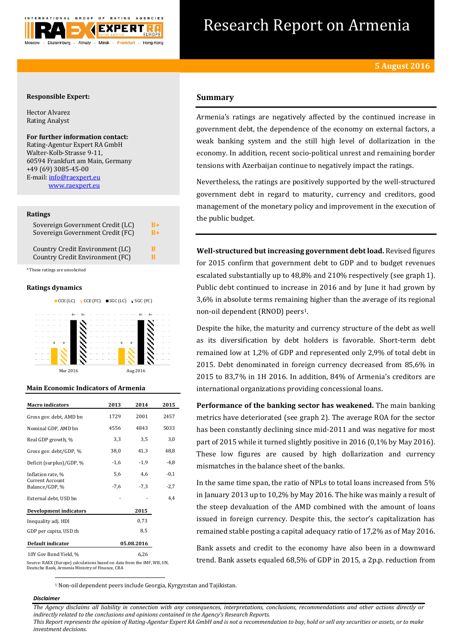

# Research Report on Armenia

# **Responsible Expert:**

Hector Alvarez Rating Analyst

**For further information contact:** Rating-Agentur Expert RA GmbH Walter-Kolb-Strasse 9-11, 60594 Frankfurt am Main, Germany +49 (69) 3085-45-00 E-mail[: info@raexpert.eu](mailto:info@raexpert.eu) [www.raexpert.eu](http://raexpert.eu/)

## **Ratings**

| Sovereign Government Credit (LC) | R+   |
|----------------------------------|------|
| Sovereign Government Credit (FC) | $B+$ |
| Country Credit Environment (LC)  | R    |
| Country Credit Environment (FC)  | R    |

\* These ratings are unsolicited

# **Ratings dynamics**



## **Main Economic Indicators of Armenia**

| <b>Macro indicators</b>                                                | 2013   | 2014       | 2015   |
|------------------------------------------------------------------------|--------|------------|--------|
| Gross gov. debt, AMD bn                                                | 1729   | 2001       | 2457   |
| Nominal GDP, AMD bn                                                    | 4556   | 4843       | 5033   |
| Real GDP growth, %                                                     | 3,3    | 3,5        | 3,0    |
| Gross gov. debt/GDP, %                                                 | 38,0   | 41,3       | 48,8   |
| Deficit (surplus)/GDP, %                                               | $-1,6$ | $-1,9$     | -4,8   |
| Inflation rate, %                                                      | 5,6    | 4,6        | $-0,1$ |
| <b>Current Account</b><br>Balance/GDP, %                               | $-7,6$ | $-7,3$     | -2,7   |
| External debt, USD bn                                                  |        |            | 4.4    |
| <b>Development indicators</b>                                          |        | 2015       |        |
| Inequality adj. HDI                                                    |        | 0,73       |        |
| GDP per capita, USD th                                                 |        | 8,5        |        |
| Default indicator                                                      |        | 05.08.2016 |        |
| 10Y Gov Bond Yield, %                                                  |        | 6,26       |        |
| Source: RAEX (Europe) calculations based on data from the IMF, WB, UN, |        |            |        |

Deutsche Bank, Armenia Ministry of Finance, CBA

# **Summary**

Armenia's ratings are negatively affected by the continued increase in government debt, the dependence of the economy on external factors, a weak banking system and the still high level of dollarization in the economy. In addition, recent socio-political unrest and remaining border tensions with Azerbaijan continue to negatively impact the ratings.

Nevertheless, the ratings are positively supported by the well-structured government debt in regard to maturity, currency and creditors, good management of the monetary policy and improvement in the execution of the public budget.

**Well-structured but increasing government debt load.** Revised figures for 2015 confirm that government debt to GDP and to budget revenues escalated substantially up to 48,8% and 210% respectively (see graph 1). Public debt continued to increase in 2016 and by June it had grown by 3,6% in absolute terms remaining higher than the average of its regional non-oil dependent (RNOD) peers<sup>1</sup>.

Despite the hike, the maturity and currency structure of the debt as well as its diversification by debt holders is favorable. Short-term debt remained low at 1,2% of GDP and represented only 2,9% of total debt in 2015. Debt denominated in foreign currency decreased from 85,6% in 2015 to 83,7% in 1H 2016. In addition, 84% of Armenia's creditors are international organizations providing concessional loans.

**Performance of the banking sector has weakened.** The main banking metrics have deteriorated (see graph 2). The average ROA for the sector has been constantly declining since mid-2011 and was negative for most part of 2015 while it turned slightly positive in 2016 (0,1% by May 2016). These low figures are caused by high dollarization and currency mismatches in the balance sheet of the banks.

In the same time span, the ratio of NPLs to total loans increased from 5% in January 2013 up to 10,2% by May 2016. The hike was mainly a result of the steep devaluation of the AMD combined with the amount of loans issued in foreign currency. Despite this, the sector's capitalization has remained stable posting a capital adequacy ratio of 17,2% as of May 2016.

Bank assets and credit to the economy have also been in a downward trend. Bank assets equaled 68,5% of GDP in 2015, a 2p.p. reduction from

<sup>1</sup> Non-oil dependent peers include Georgia, Kyrgyzstan and Tajikistan.

# *Disclaimer*

1

*The Agency disclaims all liability in connection with any consequences, interpretations, conclusions, recommendations and other actions directly or indirectly related to the conclusions and opinions contained in the Agency's Research Reports.*

*This Report represents the opinion of Rating-Agentur Expert RA GmbH and is not a recommendation to buy, hold or sell any securities or assets, or to make investment decisions.*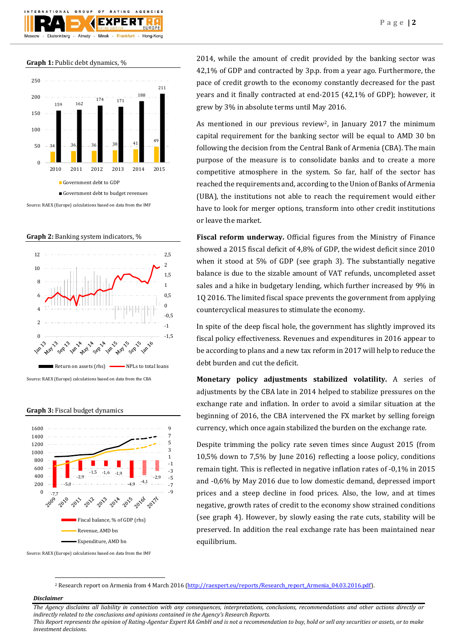

**Graph 1:** Public debt dynamics, %







Source: RAEX (Europe) calculations based on data from the CBA

**Graph 3:** Fiscal budget dynamics



Source: RAEX (Europe) calculations based on data from the IMF

2014, while the amount of credit provided by the banking sector was 42,1% of GDP and contracted by 3p.p. from a year ago. Furthermore, the pace of credit growth to the economy constantly decreased for the past years and it finally contracted at end-2015 (42,1% of GDP); however, it grew by 3% in absolute terms until May 2016.

As mentioned in our previous review<sup>2</sup>, in January 2017 the minimum capital requirement for the banking sector will be equal to AMD 30 bn following the decision from the Central Bank of Armenia (CBA). The main purpose of the measure is to consolidate banks and to create a more competitive atmosphere in the system. So far, half of the sector has reached the requirements and, according to the Union of Banks of Armenia (UBA), the institutions not able to reach the requirement would either have to look for merger options, transform into other credit institutions or leave the market.

**Fiscal reform underway.** Official figures from the Ministry of Finance showed a 2015 fiscal deficit of 4,8% of GDP, the widest deficit since 2010 when it stood at 5% of GDP (see graph 3). The substantially negative balance is due to the sizable amount of VAT refunds, uncompleted asset sales and a hike in budgetary lending, which further increased by 9% in 1Q 2016. The limited fiscal space prevents the government from applying countercyclical measures to stimulate the economy.

In spite of the deep fiscal hole, the government has slightly improved its fiscal policy effectiveness. Revenues and expenditures in 2016 appear to be according to plans and a new tax reform in 2017 will help to reduce the debt burden and cut the deficit.

**Monetary policy adjustments stabilized volatility.** A series of adjustments by the CBA late in 2014 helped to stabilize pressures on the exchange rate and inflation. In order to avoid a similar situation at the beginning of 2016, the CBA intervened the FX market by selling foreign currency, which once again stabilized the burden on the exchange rate.

Despite trimming the policy rate seven times since August 2015 (from 10,5% down to 7,5% by June 2016) reflecting a loose policy, conditions remain tight. This is reflected in negative inflation rates of -0,1% in 2015 and -0,6% by May 2016 due to low domestic demand, depressed import prices and a steep decline in food prices. Also, the low, and at times negative, growth rates of credit to the economy show strained conditions (see graph 4). However, by slowly easing the rate cuts, stability will be preserved. In addition the real exchange rate has been maintained near equilibrium.

<sup>2</sup> Research report on Armenia from 4 March 2016 [\(http://raexpert.eu/reports/Research\\_report\\_Armenia\\_04.03.2016.pdf\)](http://raexpert.eu/reports/Research_report_Armenia_04.03.2016.pdf).

# *Disclaimer*

1

*The Agency disclaims all liability in connection with any consequences, interpretations, conclusions, recommendations and other actions directly or indirectly related to the conclusions and opinions contained in the Agency's Research Reports. This Report represents the opinion of Rating-Agentur Expert RA GmbH and is not a recommendation to buy, hold or sell any securities or assets, or to make* 

*investment decisions.*